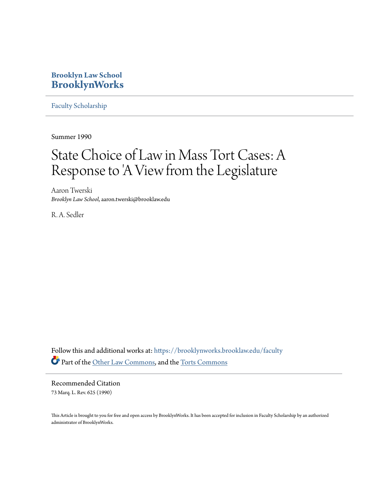### **Brooklyn Law School [BrooklynWorks](https://brooklynworks.brooklaw.edu?utm_source=brooklynworks.brooklaw.edu%2Ffaculty%2F698&utm_medium=PDF&utm_campaign=PDFCoverPages)**

[Faculty Scholarship](https://brooklynworks.brooklaw.edu/faculty?utm_source=brooklynworks.brooklaw.edu%2Ffaculty%2F698&utm_medium=PDF&utm_campaign=PDFCoverPages)

Summer 1990

# State Choice of Law in Mass Tort Cases: A Response to 'A View from the Legislature

Aaron Twerski *Brooklyn Law School*, aaron.twerski@brooklaw.edu

R. A. Sedler

Follow this and additional works at: [https://brooklynworks.brooklaw.edu/faculty](https://brooklynworks.brooklaw.edu/faculty?utm_source=brooklynworks.brooklaw.edu%2Ffaculty%2F698&utm_medium=PDF&utm_campaign=PDFCoverPages) Part of the [Other Law Commons](http://network.bepress.com/hgg/discipline/621?utm_source=brooklynworks.brooklaw.edu%2Ffaculty%2F698&utm_medium=PDF&utm_campaign=PDFCoverPages), and the [Torts Commons](http://network.bepress.com/hgg/discipline/913?utm_source=brooklynworks.brooklaw.edu%2Ffaculty%2F698&utm_medium=PDF&utm_campaign=PDFCoverPages)

Recommended Citation 73 Marq. L. Rev. 625 (1990)

This Article is brought to you for free and open access by BrooklynWorks. It has been accepted for inclusion in Faculty Scholarship by an authorized administrator of BrooklynWorks.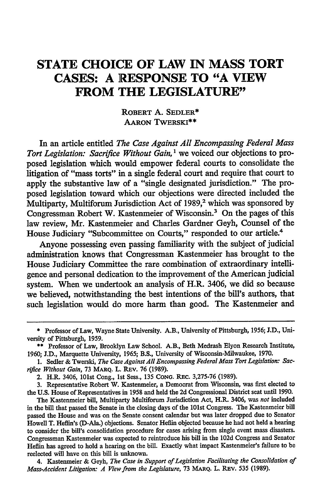## **STATE CHOICE OF LAW IN MASS TORT CASES: A RESPONSE TO "A VIEW FROM THE LEGISLATURE"**

#### ROBERT **A.** SEDLER\* **AARON** TWERSKI\*\*

In an article entitled *The Case Against All Encompassing Federal Mass Tort Legislation: Sacrifice Without Gain, 1* we voiced our objections to proposed legislation which would empower federal courts to consolidate the litigation of "mass torts" in a single federal court and require that court to apply the substantive law of a "single designated jurisdiction." The proposed legislation toward which our objections were directed included the Multiparty, Multiforum Jurisdiction Act of 1989,<sup>2</sup> which was sponsored by Congressman Robert W. Kastenmeier of Wisconsin.3 On the pages of this law review, Mr. Kastenmeier and Charles Gardner Geyh, Counsel of the House Judiciary "Subcommittee on Courts," responded to our article.<sup>4</sup>

Anyone possessing even passing familiarity with the subject of judicial administration knows that Congressman Kastenmeier has brought to the House Judiciary Committee the rare combination of extraordinary intelligence and personal dedication to the improvement of the American judicial system. When we undertook an analysis of H.R. 3406, we did so because we believed, notwithstanding the best intentions of the bill's authors, that such legislation would do more harm than good. The Kastenmeier and

<sup>\*</sup> Professor of Law, Wayne State University. A.B., University of Pittsburgh, 1956; **J.D.,** University of Pittsburgh, 1959.

<sup>\*\*</sup> Professor of Law, Brooklyn Law School. A.B., Beth Medrash Elyon Research Institute, 1960; **J.D.,** Marquette University, 1965; B.S., University of Wisconsin-Milwaukee, 1970.

<sup>1.</sup> Sedler & Twerski, The Case Against All Encompassing Federal Mass Tort Legislation: Sacrifice Without Gain, 73 MARQ. L. REV. 76 (1989).

<sup>2.</sup> H.R. 3406, 101st Cong., 1st Sess., 135 **CONG.** REc. 3,275-76 (1989).

<sup>3.</sup> Representative Robert W. Kastenmeier, a Democrat from Wisconsin, was first elected to the U.S. House of Representatives in 1958 and held the 2d Congressional District seat until 1990.

The Kastenmeier bill, Multiparty Multiforum Jurisdiction Act, H.R. 3406, was *not* included in the bill that passed the Senate in the closing days of the 101st Congress. The Kastenmeier bill passed the House and was on the Senate consent calendar but was later dropped due to Senator Howell T. Heflin's (D-Ala.) objections. Senator Heflin objected because he had not held a hearing to consider the bill's consolidation procedure for cases arising from single event mass disasters. Congressman Kastenmeier was expected to reintroduce his bill in the 102d Congress and Senator Heflin has agreed to hold a hearing on the bill. Exactly what impact Kastenmeier's failure to be reelected will have on this bill is unknown.

<sup>4.</sup> Kastenmeier & Geyh, *The Case in Support of Legislation Facilitating the Consolidation of Mass-Accident Litigation: A View from the Legislature, 73 MARQ. L. REV. 535 (1989).*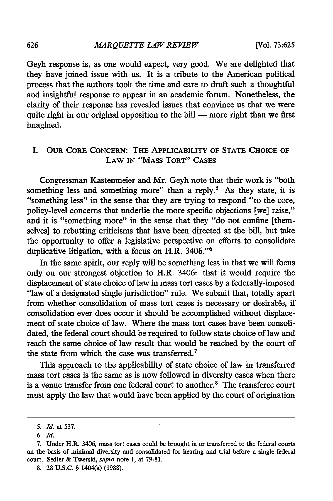Geyh response is, as one would expect, very good. We are delighted that they have joined issue with us. It is a tribute to the American political process that the authors took the time and care to draft such a thoughtful and insightful response to appear in an academic forum. Nonetheless, the clarity of their response has revealed issues that convince us that we were quite right in our original opposition to the bill  $-$  more right than we first imagined.

#### I. OUR CORE **CONCERN:** THE APPLICABILITY OF **STATE CHOICE** OF LAW **IN** "MAss TORT" CAsES

Congressman Kastenmeier and Mr. Geyh note that their work is "both something less and something more" than a reply.<sup>5</sup> As they state, it is "something less" in the sense that they are trying to respond "to the core, policy-level concerns that underlie the more specific objections [we] raise," and it is "something more" in the sense that they "do not confine [themselves] to rebutting criticisms that have been directed at the bill, but take the opportunity to offer a legislative perspective on efforts to consolidate duplicative litigation, with a focus on H.R. 3406."<sup>6</sup>

In the same spirit, our reply will be something less in that we will focus only on our strongest objection to H.R. 3406: that it would require the displacement of state choice of law in mass tort cases by a federally-imposed "law of a designated single jurisdiction" rule. We submit that, totally apart from whether consolidation of mass tort cases is necessary or desirable, if consolidation ever does occur it should be accomplished without displacement of state choice of law. Where the mass tort cases have been consolidated, the federal court should be required to follow state choice of law and reach the same choice of law result that would be reached by the court of the state from which the case was transferred.<sup>7</sup>

This approach to the applicability of state choice of law in transferred mass tort cases is the same as is now followed in diversity cases when there is a venue transfer from one federal court to another.<sup>8</sup> The transferee court must apply the law that would have been applied by the court of origination

*<sup>5.</sup> Id.* at 537.

**<sup>6.</sup>** *Id.*

<sup>7.</sup> Under H.R. 3406, mass tort cases could be brought in or transferred to the federal courts on the basis of minimal diversity and consolidated for hearing and trial before a single federal court. Sedler & Twerski, *supra* note 1, at 79-81.

<sup>8. 28</sup> U.S.C. **§** 1404(a) (1988).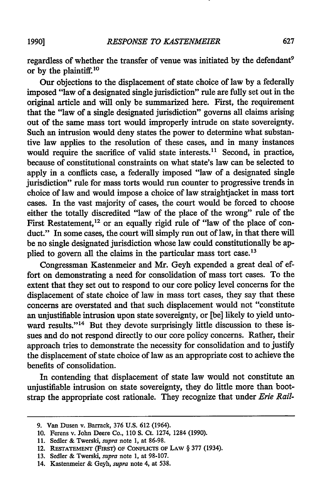regardless of whether the transfer of venue was initiated by the defendant<sup>9</sup> or by the plaintiff.10

Our objections to the displacement of state choice of law by a federally imposed "law of a designated single jurisdiction" rule are fully set out in the original article and will only be summarized here. First, the requirement that the "law of a single designated jurisdiction" governs all claims arising out of the same mass tort would improperly intrude on state sovereignty. Such an intrusion would deny states the power to determine what substantive law applies to the resolution of these cases, and in many instances would require the sacrifice of valid state interests.<sup>11</sup> Second, in practice, because of constitutional constraints on what state's law can be selected to apply in a conflicts case, a federally imposed "law of a designated single jurisdiction" rule for mass torts would run counter to progressive trends in choice of law and would impose a choice of law straightjacket in mass tort cases. In the vast majority of cases, the court would be forced to choose either the totally discredited "law of the place of the wrong" rule of the First Restatement,<sup>12</sup> or an equally rigid rule of "law of the place of conduct." In some cases, the court will simply run out of law, in that there will be no single designated jurisdiction whose law could constitutionally be applied to govern all the claims in the particular mass tort case.<sup>13</sup>

Congressman Kastenmeier and Mr. Geyh expended a great deal of effort on demonstrating a need for consolidation of mass tort cases. To the extent that they set out to respond to our core policy level concerns for the displacement of state choice of law in mass tort cases, they say that these concerns are overstated and that such displacement would not "constitute an unjustifiable intrusion upon state sovereignty, or [be] likely to yield untoward results."<sup>14</sup> But they devote surprisingly little discussion to these issues and do not respond directly to our core policy concerns. Rather, their approach tries to demonstrate the necessity for consolidation and to justify the displacement of state choice of law as an appropriate cost to achieve the benefits of consolidation.

In contending that displacement of state law would not constitute an unjustifiable intrusion on state sovereignty, they do little more than bootstrap the appropriate cost rationale. They recognize that under *Erie Rail-*

**1990]**

**<sup>9.</sup>** Van Dusen v. Barrack, 376 **U.S.** 612 (1964).

<sup>10.</sup> Ferens v. John Deere Co., 110 **S.** Ct. 1274, 1284 (1990).

<sup>11.</sup> Sedler & Twerski, *supra* note 1, at 86-98.

<sup>12.</sup> **RESTATEMENT** (FIRST) OF **CONFLICTS** OF **LAW** § 377 (1934).

**<sup>13.</sup>** Sedler & Twerski, *supra* note **1,** at **98-107.**

<sup>14.</sup> Kastenmeier & Geyh, *supra* note 4, at 538.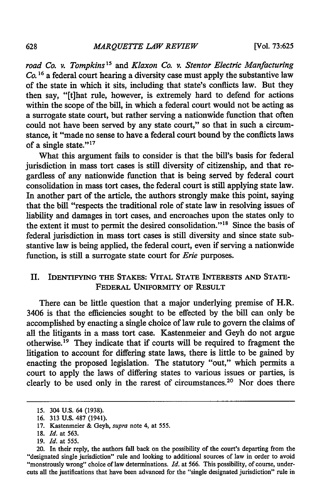*road Co. v. Tompkins15 and Klaxon Co. v. Stentor Electric Manfacturing Co. 1 <sup>6</sup>*a federal court hearing a diversity case must apply the substantive law of the state in which it sits, including that state's conflicts law. But they then say, "[tihat rule, however, is extremely hard to defend for actions within the scope of the **bill,** in which a federal court would not be acting as a surrogate state court, but rather serving a nationwide function that often could not have been served **by** any state court," so that in such a circumstance, it "made no sense to have a federal court bound **by** the conflicts laws of a single state."17

What this argument fails to consider is that the bill's basis for federal jurisdiction in mass tort cases is still diversity of citizenship, and that regardless of any nationwide function that is being served **by** federal court consolidation in mass tort cases, the federal court is still applying state law. In another part of the article, the authors strongly make this point, saying that the bill "respects the traditional role of state law in resolving issues of liability and damages in tort cases, and encroaches upon the states only to the extent it must to permit the desired consolidation."<sup>18</sup> Since the basis of federal jurisdiction in mass tort cases is still diversity and since state substantive law is being applied, the federal court, even if serving a nationwide function, is still a surrogate state court for *Erie* purposes.

#### II. **IDENTIFYING THE STAKES: VITAL STATE** INTERESTS **AND STATE-**FEDERAL UNIFORMITY OF RESULT

There can be little question that a major underlying premise of H.R. 3406 is that the efficiencies sought to be effected by the bill can only be accomplished by enacting a single choice of law rule to govern the claims of all the litigants in a mass tort case. Kastenmeier and Geyh do not argue otherwise.19 They indicate that if courts will be required to fragment the litigation to account for differing state laws, there is little to be gained **by** enacting the proposed legislation. The statutory "out," which permits a court to apply the laws of differing states to various issues or parties, is clearly to be used only in the rarest of circumstances.<sup>20</sup> Nor does there

<sup>15. 304</sup> **U.S.** 64 (1938).

**<sup>16. 313</sup> U.S. 487** (1941).

<sup>17.</sup> Kastenmeier & *Geyh, supra* note 4, at 555.

<sup>18.</sup> *Id.* at 563.

<sup>19.</sup> *Id.* at 555.

<sup>20.</sup> In their reply, the authors fall back on the possibility of the court's departing from the "designated single jurisdiction" rule and looking to additional sources of law in order to avoid "monstrously wrong" choice of law determinations. *Id.* at 566. This possibility, of course, undercuts all the justifications that have been advanced for the "single designated jurisdiction" rule in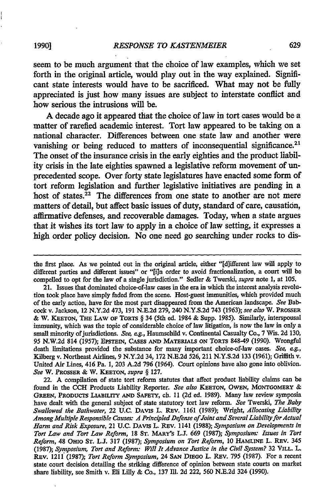seem to be much argument that the choice of law examples, which we set forth in the original article, would play out in the way explained. Significant state interests would have to be sacrificed. What may not be **fully** appreciated is just how many issues are subject to interstate conflict and how serious the intrusions will be.

A decade ago it appeared that the choice of law in tort cases would be a matter of rarefied academic interest. Tort law appeared to be taking on a national character. Differences between one state law and another were vanishing or being reduced to matters of inconsequential significance.<sup>21</sup> The onset of the insurance crisis in the early eighties and the product liability crisis in the late eighties spawned a legislative reform movement of unprecedented scope. Over forty state legislatures have enacted some form of tort reform legislation and further legislative initiatives are pending in a host of states.<sup>22</sup> The differences from one state to another are not mere matters of detail, but affect basic issues of duty, standard of care, causation, affirmative defenses, and recoverable damages. Today, when a state argues that it wishes its tort law to apply in a choice of law setting, it expresses a high order policy decision. No one need go searching under rocks to dis-

22. **A** compilation of state tort reform statutes that affect product liability claims can **be** found in the **CCH** Products Liability Reporter. *See also* **KEETON, OWEN, MONTGOMERY** & **GREEN,** PRODUCTS LIABILITY **AND SAFETY,** ch. **11 (2d** ed. **1989).** Many law review symposia have dealt with the general subject of state statutory tort law reform. *See* Twerski, *The Baby Swallowed the Bathwater,* 22 **U.C.** DAVIS L. Rrv. **1161 (1989);** Wright, *Allocating Liability Among Multiple Responsible Causes A Principled Defense of Joint and Several Liability for Actual Harm and Risk Exposure,* 21 **U.C. DAVIS** L. Rav. 1141 **(1988);** *Symposium on Developments in Tort Law and Tort Law Reform,* **18 ST. MARY'S** L.J. **669 (1987);** *Symposium. Issues in Tort Reform,* 48 **OHIO ST.** L.J. **317 (1987);** *Symposium on Tort Reform,* **10 HAMLINE** L. **REV.** 345 **(1987);** *Symposium, Tort and Reform: Will It Advance Justice in the Civil System?* **32 VILL.** L. **Rav.** 1211 **(1987);** *Tort Reform Symposium,* 24 **SAN DIEGO** L. REv. **795 (1987).** For a recent state court decision detailing the striking difference of opinion between state courts on market share liability, see Smith v. Eli **Lilly &** Co., **137 Ill. 2d** 222, **560 N.E.2d** 324 **(1990).**

the first place. As we pointed out in the original article, either "[d]ifferent law will apply to different parties and different issues" or "[i]n order to avoid fractionalization, a court will be compelled to opt for the law of a single jurisdiction." Sedler **&** Twerski, *supra* note **1,** at **105.**

<sup>21.</sup> Issues that dominated choice-of-law cases in the era in which the interest analysis revolution took place have simply faded from the scene. Host-guest immunities, which provided much of the early action, have for the most part disappeared from the American landscape. *See* Babcock v. Jackson, 12 **N.Y.2d** 473, **191 N.E.2d 279,** 240 **N.Y.S.2d** 743 **(1963);** *see also* W. **PROSSER &** W. **KETON, THE LAW OF TORTS** § 34 (5th ed. 1984 **&** Supp. **1985).** Similarly, interspousal immunity, which was the topic of considerable choice of law litigation, is now the law in only a small minority ofjurisdictions. *See, eg.,* Haumschild v. Continental Casualty Co., **7** Wis. **2d 130, 95 N.W.2d** 814 **(1957); EPSTEIN, CASES AND MATERIALS ON** TORTS 848-49 **(1990).** Wrongful death limitations provided the substance for many important choice-of-law cases. *See, ag.,* Kilberg v. Northeast Airlines, **9 N.Y.2d** 34, **172 N.E.2d 526,** 211 **N.Y.S.2d 133 (1961);** Griffith v. United Air Lines, 416 Pa. **1, 203 A.2d 796** (1964). Court opinions have also gone into oblivion. *See* W. PROSSER & **W. KEETON,** *supra §* **127.**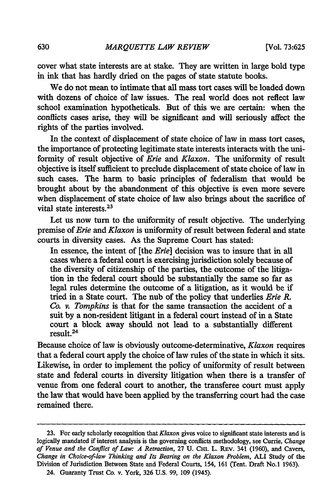630

cover what state interests are at stake. They are written in large bold type in ink that has hardly dried on the pages of state statute books.

We do not mean to intimate that all mass tort cases will be loaded down with dozens of choice of law issues. The real world does not reflect law school examination hypotheticals. But of this we are certain: when the conflicts cases arise, they will be significant and will seriously affect the rights of the parties involved.

In the context of displacement of state choice of law in mass tort cases, the importance of protecting legitimate state interests interacts with the uniformity of result objective of *Erie and Klaxon.* The uniformity of result objective is itself sufficient to preclude displacement of state choice of law in such cases. The harm to basic principles of federalism that would be brought about by the abandonment of this objective is even more severe when displacement of state choice of law also brings about the sacrifice of vital state interests. <sup>23</sup>

Let us now turn to the uniformity of result objective. The underlying premise of *Erie and Klaxon* is uniformity of result between federal and state courts in diversity cases. As the Supreme Court has stated:

In essence, the intent of [the *Erie]* decision was to insure that in all cases where a federal court is exercising jurisdiction solely because of the diversity of citizenship of the parties, the outcome of the litigation in the federal court should be substantially the same so far as legal rules determine the outcome of a litigation, as it would be if tried in a State court. The nub of the policy that underlies *Erie R. Co. v. Tompkins* is that for the same transaction the accident of a suit by a non-resident litigant in a federal court instead of in a State court a block away should not lead to a substantially different result.<sup>24</sup>

Because choice of law is obviously outcome-determinative, *Klaxon* requires that a federal court apply the choice of law rules of the state in which it sits. Likewise, in order to implement the policy of uniformity of result between state and federal courts in diversity litigation when there is a transfer of venue from one federal court to another, the transferee court must apply the law that would have been applied by the transferring court had the case remained there.

**<sup>23.</sup>** For early scholarly recognition that *Klaxon* gives voice to significant state interests and is logically mandated if interest analysis is the governing conflicts methodology, see Currie, *Change of Venue and the Conflict of Law: A Retraction,* 27 U. Cui. L. REv. 341 (1960), and Cavers, *Change in Choice-of-law Thinking and Its Bearing on the Klaxon Problem,* **ALI** Study of the Division of Jurisdiction Between State and Federal Courts, 154, **161** (Tent. Draft No.1 1963). 24. Guaranty Trust Co. v. York, 326 U.S. 99, **109** (1945).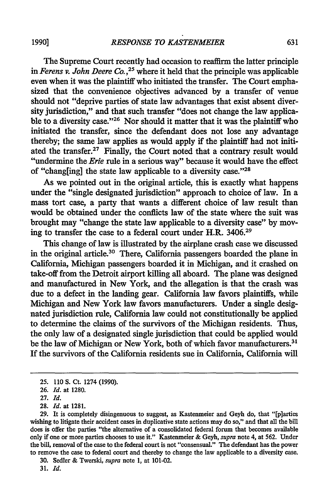The Supreme Court recently had occasion to reaffirm the latter principle in *Ferens v. John Deere Co.*,<sup>25</sup> where it held that the principle was applicable even when it was the plaintiff who initiated the transfer. The Court emphasized that the convenience objectives advanced by a transfer of venue should not "deprive parties of state law advantages that exist absent diversity jurisdiction," and that such transfer "does not change the law applicable to a diversity case."<sup>26</sup> Nor should it matter that it was the plaintiff who initiated the transfer, since the defendant does not lose any advantage thereby; the same law applies as would apply if the plaintiff had not initiated the transfer. $27$  Finally, the Court noted that a contrary result would "undermine the *Erie* rule in a serious way" because it would have the effect of "chang[ing] the state law applicable to a diversity case. **"28**

As we pointed out in the original article, this is exactly what happens under the "single designated jurisdiction" approach to choice of law. In a mass tort case, a party that wants a different choice of law result than would be obtained under the conflicts law of the state where the suit was brought may "change the state law applicable to a diversity case" by moving to transfer the case to a federal court under H.R. 3406.29

This change of law is illustrated by the airplane crash case we discussed in the original article.<sup>30</sup> There, California passengers boarded the plane in California, Michigan passengers boarded it in Michigan, and it crashed on take-off from the Detroit airport killing all aboard. The plane was designed and manufactured in New York, and the allegation is that the crash was due to a defect in the landing gear. California law favors plaintiffs, while Michigan and New York law favors manufacturers. Under a single designated jurisdiction rule, California law could not constitutionally be applied to determine the claims of the survivors of the Michigan residents. Thus, the only law of a designated single jurisdiction that could be applied would be the law of Michigan or New York, both of which favor manufacturers.<sup>31</sup> If the survivors of the California residents sue in California, California will

**<sup>25. 110</sup>** S. Ct. 1274 (1990).

<sup>26.</sup> *Id.* at 1280.

**<sup>27.</sup>** *Id.*

**<sup>28.</sup>** *Id.* at 1281.

<sup>29.</sup> It is completely disingenuous to suggest, as Kastenmeier and Geyh do, that "[p]arties wishing to litigate their accident cases in duplicative state actions may do so," and that all the bill does is offer the parties "the alternative of a consolidated federal forum that becomes available only if one or more parties chooses to use it." Kastenmeier **&** Geyh, *supra* note 4, at 562. Under the bill, removal of the case to the federal court is not "consensual." The defendant has the power to remove the case to federal court and thereby to change the law applicable to a diversity case.

**<sup>30.</sup>** Sedler **&** Twerski, *supra* note 1, at 101-02.

**<sup>31.</sup>** *Id.*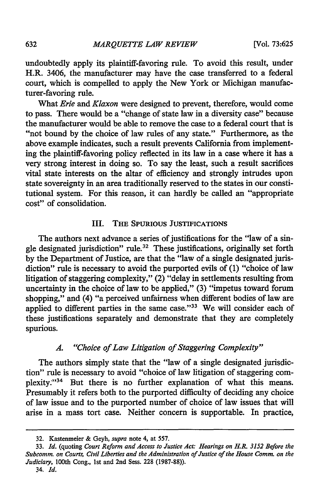undoubtedly apply its plaintiff-favoring rule. To avoid this result, under H.R. 3406, the manufacturer may have the case transferred to a federal court, which is compelled to apply the New York or Michigan manufacturer-favoring rule.

What *Erie and Klaxon* were designed to prevent, therefore, would come to pass. There would be a "change of state law in a diversity case" because the manufacturer would be able to remove the case to a federal court that is "not bound by the choice of law rules of any state." Furthermore, as the above example indicates, such a result prevents California from implementing the plaintiff-favoring policy reflected in its law in a case where it has a very strong interest in doing so. To say the least, such a result sacrifices vital state interests on the altar of efficiency and strongly intrudes upon state sovereignty in an area traditionally reserved to the states in our constitutional system. For this reason, it can hardly be called an "appropriate cost" of consolidation.

#### III. THE **SPURIOUS JUSTIFICATIONS**

The authors next advance a series of justifications for the "law of a single designated jurisdiction" rule.<sup>32</sup> These justifications, originally set forth **by** the Department of Justice, are that the "law of a single designated jurisdiction" rule is necessary to avoid the purported evils of **(1)** "choice of law litigation of staggering complexity," (2) "delay in settlements resulting from uncertainty in the choice of law to be applied," (3) "impetus toward forum shopping," and (4) "a perceived unfairness when different bodies of law are applied to different parties in the same case."<sup>33</sup> We will consider each of these justifications separately and demonstrate that they are completely spurious.

#### *A. "Choice of Law Litigation of Staggering Complexity"*

The authors simply state that the "law of a single designated jurisdiction" rule is necessary to avoid "choice of law litigation of staggering complexity."34 But there is no further explanation of what this means. Presumably it refers both to the purported difficulty of deciding any choice of law issue and to the purported number of choice of law issues that will arise in a mass tort case. Neither concern is supportable. In practice,

**<sup>32.</sup>** Kastenmeier **&** Geyh, *supra* note 4, at 557.

<sup>33.</sup> *Id.* (quoting *Court Reform and Access to Justice Act: Hearings on H.R. 3152 Before the Subcomm. on Courts, Civil Liberties and the Administration of Justice of the House Comm. on the Judiciary,* 100th Cong., 1st and 2nd Sess. 228 (1987-88)). 34. *Id.*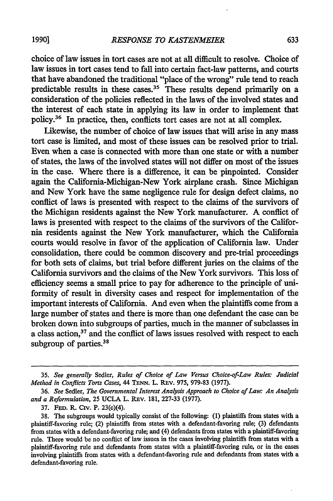choice of law issues in tort cases are not at all difficult to resolve. Choice of law issues in tort cases tend to fall into certain fact-law patterns, and courts that have abandoned the traditional "place of the wrong" rule tend to reach predictable results in these cases.<sup>35</sup> These results depend primarily on a consideration of the policies reflected in the laws of the involved states and the interest of each state in applying its law in order to implement that policy.36 In practice, then, conflicts tort cases are not at all complex.

Likewise, the number of choice of law issues that will arise in any mass tort case is limited, and most of these issues can be resolved prior to trial. Even when a case is connected with more than one state or with a number of states, the laws of the involved states will not differ on most of the issues in the case. Where there is a difference, it can be pinpointed. Consider again the California-Michigan-New York airplane crash. Since Michigan and New York have the same negligence rule for design defect claims, no conflict of laws is presented with respect to the claims of the survivors of the Michigan residents against the New York manufacturer. **A** conflict of laws is presented with respect to the claims of the survivors of the California residents against the New York manufacturer, which the California courts would resolve in favor of the application of California law. Under consolidation, there could be common discovery and pre-trial proceedings for both sets of claims, but trial before different juries on the claims of the California survivors and the claims of the New York survivors. This loss of efficiency seems a small price to pay for adherence to the principle of uniformity of result in diversity cases and respect for implementation of the important interests of California. And even when the plaintiffs come from a large number of states and there is more than one defendant the case can be broken down into subgroups of parties, much in the manner of subclasses in a class action,<sup>37</sup> and the conflict of laws issues resolved with respect to each subgroup of parties.<sup>38</sup>

**1990]**

**<sup>35.</sup>** *See generally* Sedler, *Rules of Choice of Law Versus Choice-of-Law Rules: Judicial Method in Conflicts Torts Cases,* 44 **TENN.** L. REv. **975, 979-83 (1977).**

**<sup>36.</sup>** *See* Sedler, *The Governmental Interest Analysis Approach to Choice of Law: An Analysis and a Reformulation,* **25 UCLA** L. REv. **181, 227-33 (1977).**

**<sup>37.</sup> FED. P.** Civ. P. 23(c)(4).

**<sup>38.</sup>** The subgroups would typically consist of the following: **(1)** plaintiffs from states with a plaintiff-favoring rule; (2) plaintiffs from states with a defendant-favoring rule; **(3)** defendants from states with a defendant-favoring rule; and (4) defendants from states with a plaintiff-favoring rule. There would be no conflict of law issues in the cases involving plaintiffs from states with a plaintiff-favoring rule and defendants from states with a plaintiff-favoring rule, or in the cases involving plaintiffs from states with a defendant-favoring rule and defendants from states with a defendant-favoring rule.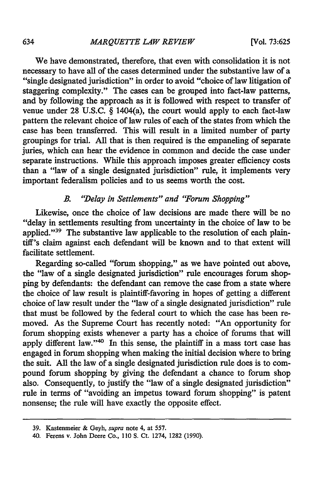We have demonstrated, therefore, that even with consolidation it is not necessary to have all of the cases determined under the substantive law of a "single designated jurisdiction" in order to avoid "choice of law litigation of staggering complexity." The cases can be grouped into fact-law patterns, and by following the approach as it is followed with respect to transfer of venue under 28 U.S.C. § 1404(a), the court would apply to each fact-law pattern the relevant choice of law rules of each of the states from which the case has been transferred. This will result in a limited number of party groupings for trial. All that is then required is the empaneling of separate juries, which can hear the evidence in common and decide the case under separate instructions. While this approach imposes greater efficiency costs than a "law of a single designated jurisdiction" rule, it implements very important federalism policies and to us seems worth the cost.

#### *B. "Delay in Settlements" and "Forum Shopping"*

Likewise, once the choice of law decisions are made there will be no "delay in settlements resulting from uncertainty in the choice of law to be applied."<sup>39</sup> The substantive law applicable to the resolution of each plaintiff's claim against each defendant will be known and to that extent will facilitate settlement.

Regarding so-called "forum shopping," as we have pointed out above, the "law of a single designated jurisdiction" rule encourages forum shopping by defendants: the defendant can remove the case from a state where the choice of law result is plaintiff-favoring in hopes of getting a different choice of law result under the "law of a single designated jurisdiction" rule that must be followed by the federal court to which the case has been removed. As the Supreme Court has recently noted: "An opportunity for forum shopping exists whenever a party has a choice of forums that will apply different law."<sup>40</sup> In this sense, the plaintiff in a mass tort case has engaged in forum shopping when making the initial decision where to bring the suit. All the law of a single designated jurisdiction rule does is to compound forum shopping by giving the defendant a chance to forum shop also. Consequently, to justify the "law of a single designated jurisdiction" rule in terms of "avoiding an impetus toward forum shopping" is patent nonsense; the rule will have exactly the opposite effect.

<sup>39.</sup> Kastenmeier & Geyh, *supra* note 4, at 557.

<sup>40.</sup> Ferens v. John Deere Co., 110 S. Ct. 1274, 1282 (1990).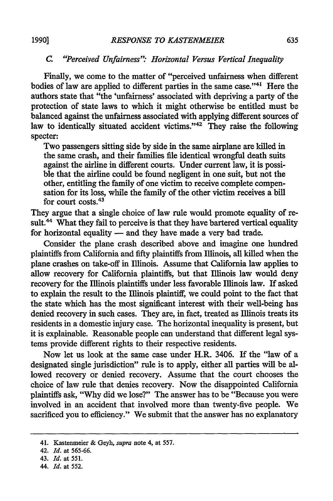**1990]**

#### *C. "Perceived Unfairness" Horizontal Versus Vertical Inequality*

Finally, we come to the matter of "perceived unfairness when different bodies of law are applied to different parties in the same case."41 Here the authors state that "the 'unfairness' associated with depriving a party of the protection of state laws to which it might otherwise be entitled must be balanced against the unfairness associated with applying different sources of law to identically situated accident victims."<sup>42</sup> They raise the following specter:

Two passengers sitting side **by** side in the same airplane are killed in the same crash, and their families **file** identical wrongful death suits against the airline in different courts. Under current law, it is possible that the airline could be found negligent in one suit, but not the other, entitling the family of one victim to receive complete compensation for its loss, while the family of the other victim receives a **bill** for court costs.<sup>43</sup>

They argue that a single choice of law rule would promote equality of result.<sup>44</sup> What they fail to perceive is that they have bartered vertical equality for horizontal equality - and they have made a very bad trade.

Consider the plane crash described above and imagine one hundred plaintiffs from California and **fifty** plaintiffs from Illinois, all killed when the plane crashes on take-off in Illinois. Assume that California law applies to allow recovery for California plaintiffs, but that Illinois law would deny recovery for the Illinois plaintiffs under less favorable Illinois law. If asked to explain the result to the Illinois plaintiff, we could point to the fact that the state which has the most significant interest with their well-being has denied recovery in such cases. They are, in fact, treated as Illinois treats its residents in a domestic injury case. The horizontal inequality is present, but it is explainable. Reasonable people can understand that different legal systems provide different rights to their respective residents.

Now let us look at the same case under H.R. 3406. If the "law of a designated single jurisdiction" rule is to apply, either all parties will be allowed recovery or denied recovery. Assume that the court chooses the choice of law rule that denies recovery. Now the disappointed California plaintiffs ask, "Why did we lose?" The answer has to be "Because you were involved in an accident that involved more than twenty-five people. We sacrificed you to efficiency." We submit that the answer has no explanatory

<sup>41.</sup> Kastenmeier & Geyh, *supra* note 4, at **557.**

<sup>42.</sup> *Id.* at **565-66.**

<sup>43.</sup> *Id.* at **551.**

<sup>44.</sup> *Id.* at **552.**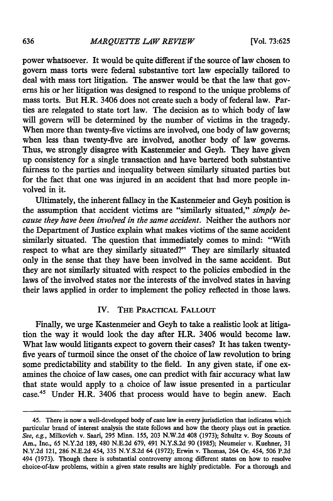power whatsoever. It would be quite different if the source of law chosen to govern mass torts were federal substantive tort law especially tailored to deal with mass tort litigation. The answer would be that the law that governs his or her litigation was designed to respond to the unique problems of mass torts. But H.R. 3406 does not create such a body of federal law. Parties are relegated to state tort law. The decision as to which body of law will govern will be determined by the number of victims in the tragedy. When more than twenty-five victims are involved, one body of law governs; when less than twenty-five are involved, another body of law governs. Thus, we strongly disagree with Kastemeier and Geyh. They have given up consistency for a single transaction and have bartered both substantive fairness to the parties and inequality between similarly situated parties but for the fact that one was injured in an accident that had more people involved in it.

Ultimately, the inherent fallacy in the Kastenmeier and Geyh position is the assumption that accident victims are "similarly situated," *simply because they have been involved in the same accident.* Neither the authors nor the Department of Justice explain what makes victims of the same accident similarly situated. The question that immediately comes to mind: "With respect to what are they similarly situated?" They are similarly situated only in the sense that they have been involved in the same accident. But they are not similarly situated with respect to the policies embodied in the laws of the involved states nor the interests of the involved states in having their laws applied in order to implement the policy reflected in those laws.

#### IV. THE PRACTICAL **FALLOUT**

Finally, we urge Kastenmeier and Geyh to take a realistic look at litigation the way it would look the day after H.R. 3406 would become law. What law would litigants expect to govern their cases? It has taken twentyfive years of turmoil since the onset of the choice of law revolution to bring some predictability and stability to the field. In any given state, if one examines the choice of law cases, one can predict with fair accuracy what law that state would apply to a choice of law issue presented in a particular case.45 Under H.R. 3406 that process would have to begin anew. Each

<sup>45.</sup> There is now a well-developed body of case law in every jurisdiction that indicates which particular brand of interest analysis the state follows and how the theory plays out in practice. See, e.g., Milkovich v. Saari, 295 Minn. 155, 203 N.W.2d 408 (1973); Schultz v. Boy Scouts of Am., Inc., 65 N.Y.2d 189, 480 N.E.2d 679, 491 N.Y.S.2d 90 (1985); Neumeier v. Kuehner, 31 N.Y.2d 121, 286 N.E.2d 454, **335** N.Y.S.2d 64 (1972); Erwin v. Thomas, 264 Or. 454, 506 P.2d 494 (1973). Though there is substantial controversy among different states on how to resolve choice-of-law problems, within a given state results are highly'predictable. For a thorough and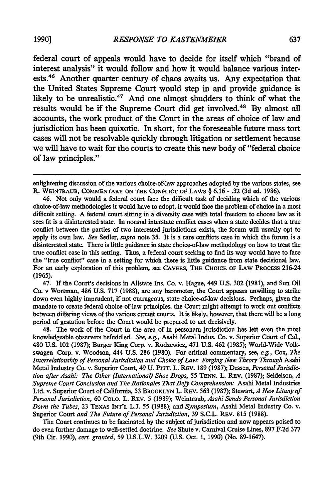federal court of appeals would have to decide for itself which "brand of interest analysis" it would follow and how it would balance various interests.<sup>46</sup> Another quarter century of chaos awaits us. Any expectation that the United States Supreme Court would step in and provide guidance is likely to be unrealistic.<sup>47</sup> And one almost shudders to think of what the results would be if the Supreme Court did get involved.<sup>48</sup> By almost all accounts, the work product of the Court in the areas of choice of law and jurisdiction has been quixotic. In short, for the foreseeable future mass tort cases will not be resolvable quickly through litigation or settlement because we will have to wait for the courts to create this new body of "federal choice of law principles."

47. If the Court's decisions in Allstate Ins. Co. v. Hague, 449 U.S. 302 (1981), and Sun Oil Co. v Wortman, 486 U.S. 717 (1988), are any barometer, the Court appears unwilling to strike down even highly imprudent, if not outrageous, state choice-of-law decisions. Perhaps, given the mandate to create federal choice-of-law principles, the Court might attempt to work out conflicts between differing views of the various circuit courts. It is likely, however, that there will be a long period of gestation before the Court would be prepared to act decisively.

48. The work of the Court in the area of in personan jurisdiction has left even the most knowledgeable observers befuddled. *See, eg.,* Asahi Metal Indus. Co. v. Superior Court of Cal., 480 U.S. 102 (1987); Burger King Corp. v. Rudzewicz, 471 U.S. 462 (1985); World-Wide Volkswagen Corp. v. Woodson, 444 U.S. 286 (1980). For critical commentary, see, eg., Cox, *The Interrelationship of Personal Jurisdiction and Choice of Law: Forging New Theory Through* Asahi Metal Industry Co. v. Superior Court, 49 U. Prrr. L. REV. 189 (1987); Dessen, *Personal Jurisdiction after Asahi: The Other (International) Shoe Drops,* 55 **TENN.** L. REv. (1987); Seidelson, *A Supreme Court Conclusion and The Rationales That Defy Comprehension:* Asahi Metal Industries Ltd. v. Superior Court of California, 53 BROOKLYN L. REv. 563 (1987); Stewart, *A New Litany of Personal Jurisdiction,* 60 COLO. L. REv. 5 (1989); Weintraub, *Asahi Sends Personal Jurisdiction Down the Tubes,* 23 TEXAS **INT'L L.J.** 55 (1988); and *Symposium,* Asahi Metal Industry Co. v. Superior Court *and The Future of Personal Jurisdiction,* 39 S.C.L. REV. 815 (1988).

The Court continues to be fascinated by the subject of jurisdiction and now appears poised to do even further damage to well-settled doctrine. *See* Shute v. Carnival Cruise Lines, 897 F.2d 377 (9th Cir. 1990), *cert. granted,* 59 U.S.L.W. 3209 (U.S. Oct. 1, 1990) (No. 89-1647).

enlightening discussion of the various choice-of-law approaches adopted **by** the various states, see R. **WEINTRAUB, COMMENTARY ON THE CONFLICT OF LAWS** § **6.16 - .32 (3d** ed. **1986).**

<sup>46.</sup> Not only would a federal court face the difficult task of deciding which of the various choice-of-law methodologies it would have to adopt, it would face the problem of choice in a most difficult setting. A federal court sitting in a diversity case with total freedom to choose law as it sees fit is a disinterested state. In normal interstate conflict cases when a state decides that a true conflict between the parties of two interested jurisdictions exists, the forum will usually opt to apply its own law. *See* Sedler, *supra* note 35. It is a rare conflicts case in which the forum is a disinterested state. There is little guidance in state choice-of-law methodology on how to treat the true conflict case in this setting. Thus, a federal court seeking to find its way would have to face the "true conflict" case in a setting for which there is little guidance from state decisional law. For an early exploration of this problem, see CAVERS, THE CHOICE OF LAW PRocEss 216-24 (1965).